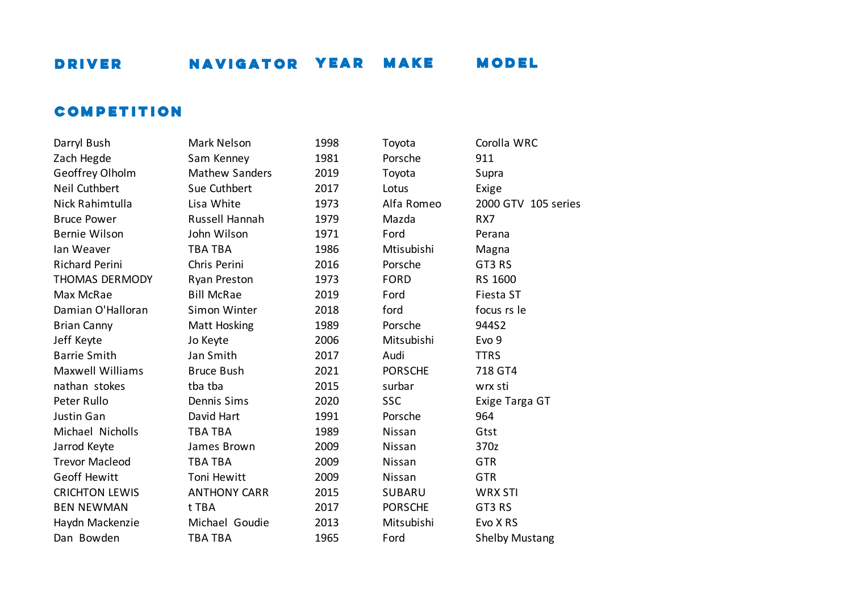### **COMPETITION**

| Darryi Dusii          |
|-----------------------|
| Zach Hegde            |
| Geoffrey Olholm       |
| Neil Cuthbert         |
| Nick Rahimtulla       |
| <b>Bruce Power</b>    |
| Bernie Wilson         |
| lan Weaver            |
| <b>Richard Perini</b> |
| <b>THOMAS DERMODY</b> |
| Max McRae             |
| Damian O'Halloran     |
| <b>Brian Canny</b>    |
| Jeff Keyte            |
| <b>Barrie Smith</b>   |
| Maxwell Williams      |
| nathan stokes         |
| Peter Rullo           |
| <b>Justin Gan</b>     |
| Michael Nicholls      |
| Jarrod Keyte          |
| <b>Trevor Macleod</b> |
| <b>Geoff Hewitt</b>   |
| <b>CRICHTON LEWIS</b> |
| <b>BEN NEWMAN</b>     |
| Haydn Mackenzie       |
| Dan Bowden            |

| Darryl Bush             | Mark Nelson           | 1998 | Toyota         | Corolla WRC           |
|-------------------------|-----------------------|------|----------------|-----------------------|
| Zach Hegde              | Sam Kenney            | 1981 | Porsche        | 911                   |
| Geoffrey Olholm         | <b>Mathew Sanders</b> | 2019 | Toyota         | Supra                 |
| Neil Cuthbert           | Sue Cuthbert          | 2017 | Lotus          | Exige                 |
| Nick Rahimtulla         | Lisa White            | 1973 | Alfa Romeo     | 2000 GTV 105 series   |
| <b>Bruce Power</b>      | Russell Hannah        | 1979 | Mazda          | RX7                   |
| <b>Bernie Wilson</b>    | John Wilson           | 1971 | Ford           | Perana                |
| lan Weaver              | <b>TBA TBA</b>        | 1986 | Mtisubishi     | Magna                 |
| Richard Perini          | Chris Perini          | 2016 | Porsche        | GT3 RS                |
| THOMAS DERMODY          | Ryan Preston          | 1973 | <b>FORD</b>    | RS 1600               |
| Max McRae               | <b>Bill McRae</b>     | 2019 | Ford           | Fiesta ST             |
| Damian O'Halloran       | Simon Winter          | 2018 | ford           | focus rs le           |
| <b>Brian Canny</b>      | Matt Hosking          | 1989 | Porsche        | 944S2                 |
| Jeff Keyte              | Jo Keyte              | 2006 | Mitsubishi     | Evo 9                 |
| <b>Barrie Smith</b>     | Jan Smith             | 2017 | Audi           | <b>TTRS</b>           |
| <b>Maxwell Williams</b> | <b>Bruce Bush</b>     | 2021 | <b>PORSCHE</b> | 718 GT4               |
| nathan stokes           | tba tba               | 2015 | surbar         | wrx sti               |
| Peter Rullo             | Dennis Sims           | 2020 | <b>SSC</b>     | Exige Targa GT        |
| Justin Gan              | David Hart            | 1991 | Porsche        | 964                   |
| Michael Nicholls        | <b>TBA TBA</b>        | 1989 | Nissan         | Gtst                  |
| Jarrod Keyte            | James Brown           | 2009 | Nissan         | 370z                  |
| <b>Trevor Macleod</b>   | <b>TBA TBA</b>        | 2009 | Nissan         | <b>GTR</b>            |
| Geoff Hewitt            | Toni Hewitt           | 2009 | Nissan         | <b>GTR</b>            |
| <b>CRICHTON LEWIS</b>   | <b>ANTHONY CARR</b>   | 2015 | <b>SUBARU</b>  | <b>WRX STI</b>        |
| <b>BEN NEWMAN</b>       | t TBA                 | 2017 | <b>PORSCHE</b> | GT3 RS                |
| Haydn Mackenzie         | Michael Goudie        | 2013 | Mitsubishi     | Evo X RS              |
| Dan Bowden              | <b>TBA TBA</b>        | 1965 | Ford           | <b>Shelby Mustang</b> |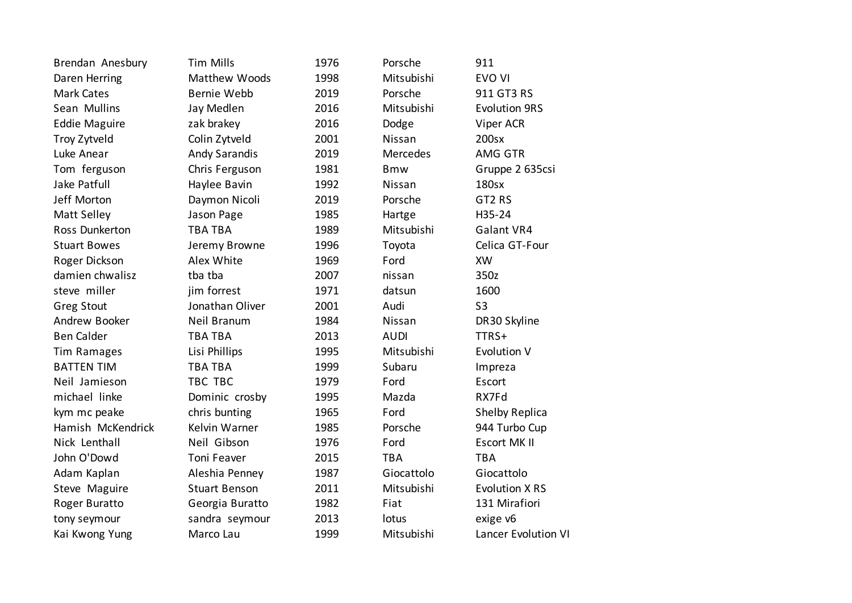| Brendan Anesbury     | <b>Tim Mills</b>     | 1976 | Porsche     | 911                   |
|----------------------|----------------------|------|-------------|-----------------------|
| Daren Herring        | Matthew Woods        | 1998 | Mitsubishi  | EVO VI                |
| Mark Cates           | Bernie Webb          | 2019 | Porsche     | 911 GT3 RS            |
| Sean Mullins         | Jay Medlen           | 2016 | Mitsubishi  | <b>Evolution 9RS</b>  |
| <b>Eddie Maguire</b> | zak brakey           | 2016 | Dodge       | Viper ACR             |
| Troy Zytveld         | Colin Zytveld        | 2001 | Nissan      | 200sx                 |
| Luke Anear           | <b>Andy Sarandis</b> | 2019 | Mercedes    | AMG GTR               |
| Tom ferguson         | Chris Ferguson       | 1981 | <b>Bmw</b>  | Gruppe 2 635csi       |
| Jake Patfull         | Haylee Bavin         | 1992 | Nissan      | 180sx                 |
| Jeff Morton          | Daymon Nicoli        | 2019 | Porsche     | GT2 RS                |
| Matt Selley          | Jason Page           | 1985 | Hartge      | H35-24                |
| Ross Dunkerton       | TBA TBA              | 1989 | Mitsubishi  | Galant VR4            |
| <b>Stuart Bowes</b>  | Jeremy Browne        | 1996 | Toyota      | Celica GT-Four        |
| Roger Dickson        | Alex White           | 1969 | Ford        | <b>XW</b>             |
| damien chwalisz      | tba tba              | 2007 | nissan      | 350z                  |
| steve miller         | jim forrest          | 1971 | datsun      | 1600                  |
| <b>Greg Stout</b>    | Jonathan Oliver      | 2001 | Audi        | S <sub>3</sub>        |
| Andrew Booker        | Neil Branum          | 1984 | Nissan      | DR30 Skyline          |
| <b>Ben Calder</b>    | <b>TBA TBA</b>       | 2013 | <b>AUDI</b> | TTRS+                 |
| <b>Tim Ramages</b>   | Lisi Phillips        | 1995 | Mitsubishi  | <b>Evolution V</b>    |
| <b>BATTEN TIM</b>    | <b>TBA TBA</b>       | 1999 | Subaru      | Impreza               |
| Neil Jamieson        | TBC TBC              | 1979 | Ford        | Escort                |
| michael linke        | Dominic crosby       | 1995 | Mazda       | RX7Fd                 |
| kym mc peake         | chris bunting        | 1965 | Ford        | <b>Shelby Replica</b> |
| Hamish McKendrick    | Kelvin Warner        | 1985 | Porsche     | 944 Turbo Cup         |
| Nick Lenthall        | Neil Gibson          | 1976 | Ford        | <b>Escort MK II</b>   |
| John O'Dowd          | Toni Feaver          | 2015 | <b>TBA</b>  | <b>TBA</b>            |
| Adam Kaplan          | Aleshia Penney       | 1987 | Giocattolo  | Giocattolo            |
| Steve Maguire        | <b>Stuart Benson</b> | 2011 | Mitsubishi  | <b>Evolution X RS</b> |
| Roger Buratto        | Georgia Buratto      | 1982 | Fiat        | 131 Mirafiori         |
| tony seymour         | sandra seymour       | 2013 | lotus       | exige v6              |
| Kai Kwong Yung       | Marco Lau            | 1999 | Mitsubishi  | Lancer Evolution VI   |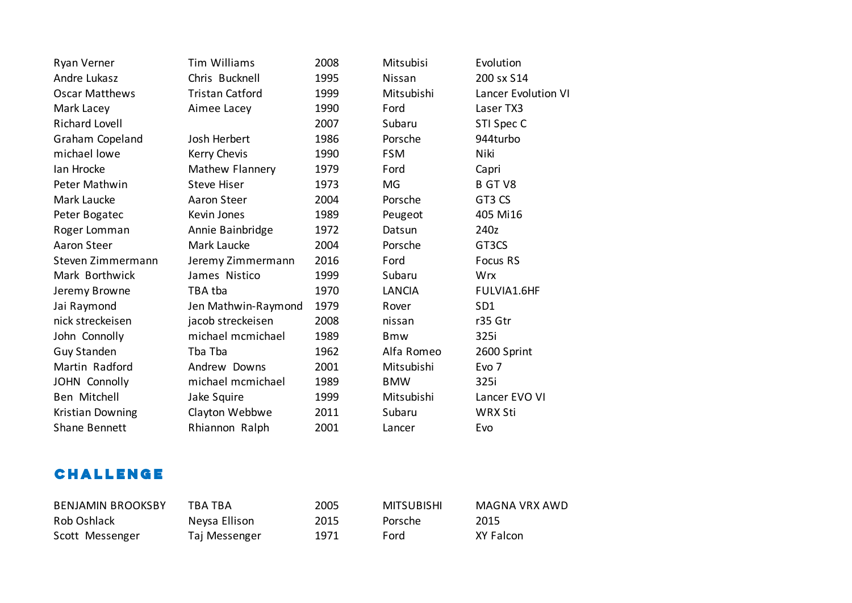| Ryan Verner           | <b>Tim Williams</b>    | 2008 | Mitsubisi     | Evolution           |
|-----------------------|------------------------|------|---------------|---------------------|
| Andre Lukasz          | Chris Bucknell         | 1995 | Nissan        | 200 sx S14          |
| <b>Oscar Matthews</b> | <b>Tristan Catford</b> | 1999 | Mitsubishi    | Lancer Evolution VI |
| Mark Lacey            | Aimee Lacey            | 1990 | Ford          | Laser TX3           |
| <b>Richard Lovell</b> |                        | 2007 | Subaru        | STI Spec C          |
| Graham Copeland       | Josh Herbert           | 1986 | Porsche       | 944turbo            |
| michael lowe          | Kerry Chevis           | 1990 | <b>FSM</b>    | Niki                |
| lan Hrocke            | Mathew Flannery        | 1979 | Ford          | Capri               |
| Peter Mathwin         | <b>Steve Hiser</b>     | 1973 | MG            | B GT V8             |
| Mark Laucke           | Aaron Steer            | 2004 | Porsche       | GT3 CS              |
| Peter Bogatec         | Kevin Jones            | 1989 | Peugeot       | 405 Mi16            |
| Roger Lomman          | Annie Bainbridge       | 1972 | Datsun        | 240z                |
| Aaron Steer           | Mark Laucke            | 2004 | Porsche       | GT3CS               |
| Steven Zimmermann     | Jeremy Zimmermann      | 2016 | Ford          | Focus RS            |
| Mark Borthwick        | James Nistico          | 1999 | Subaru        | <b>Wrx</b>          |
| Jeremy Browne         | TBA tba                | 1970 | <b>LANCIA</b> | FULVIA1.6HF         |
| Jai Raymond           | Jen Mathwin-Raymond    | 1979 | Rover         | SD <sub>1</sub>     |
| nick streckeisen      | jacob streckeisen      | 2008 | nissan        | r35 Gtr             |
| John Connolly         | michael mcmichael      | 1989 | <b>Bmw</b>    | 325i                |
| Guy Standen           | Tba Tba                | 1962 | Alfa Romeo    | 2600 Sprint         |
| Martin Radford        | Andrew Downs           | 2001 | Mitsubishi    | Evo 7               |
| JOHN Connolly         | michael mcmichael      | 1989 | <b>BMW</b>    | 325i                |
| Ben Mitchell          | Jake Squire            | 1999 | Mitsubishi    | Lancer EVO VI       |
| Kristian Downing      | Clayton Webbwe         | 2011 | Subaru        | <b>WRX Sti</b>      |
| <b>Shane Bennett</b>  | Rhiannon Ralph         | 2001 | Lancer        | Evo                 |

## **CHALLENGE**

| <b>BENJAMIN BROOKSBY</b> | TBA TBA       | 2005 | <b>MITSUBISHI</b> | MAGNA VRX AWD |
|--------------------------|---------------|------|-------------------|---------------|
| Rob Oshlack              | Neysa Ellison | 2015 | Porsche           | 2015          |
| Scott Messenger          | Taj Messenger | 1971 | Ford              | XY Falcon     |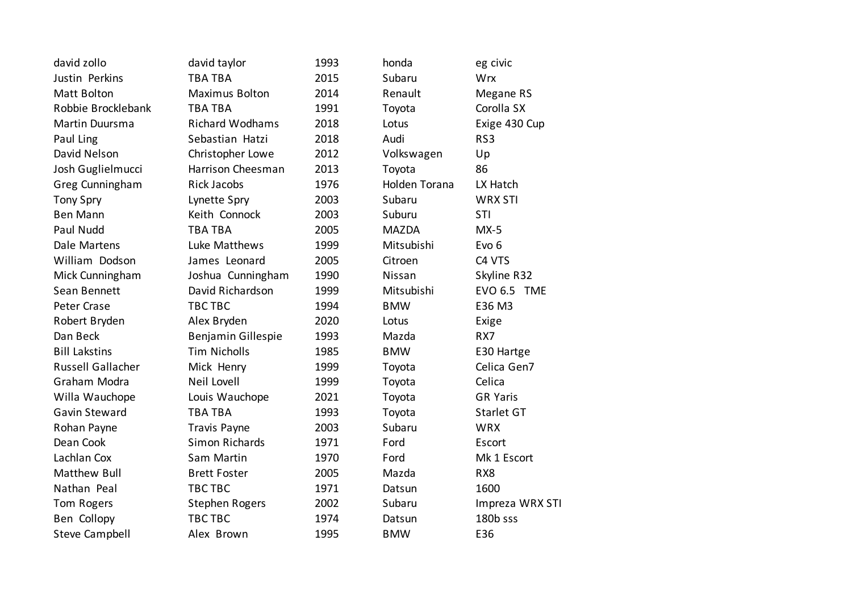| david zollo           | david taylor           | 1993 | honda         | eg civic           |
|-----------------------|------------------------|------|---------------|--------------------|
| Justin Perkins        | <b>TBA TBA</b>         | 2015 | Subaru        | Wrx                |
| Matt Bolton           | Maximus Bolton         | 2014 | Renault       | Megane RS          |
| Robbie Brocklebank    | <b>TBA TBA</b>         | 1991 | Toyota        | Corolla SX         |
| Martin Duursma        | <b>Richard Wodhams</b> | 2018 | Lotus         | Exige 430 Cup      |
| Paul Ling             | Sebastian Hatzi        | 2018 | Audi          | RS3                |
| David Nelson          | Christopher Lowe       | 2012 | Volkswagen    | Up                 |
| Josh Guglielmucci     | Harrison Cheesman      | 2013 | Toyota        | 86                 |
| Greg Cunningham       | <b>Rick Jacobs</b>     | 1976 | Holden Torana | LX Hatch           |
| <b>Tony Spry</b>      | Lynette Spry           | 2003 | Subaru        | <b>WRX STI</b>     |
| <b>Ben Mann</b>       | Keith Connock          | 2003 | Suburu        | STI                |
| Paul Nudd             | <b>TBA TBA</b>         | 2005 | <b>MAZDA</b>  | $MX-5$             |
| Dale Martens          | Luke Matthews          | 1999 | Mitsubishi    | Evo <sub>6</sub>   |
| William Dodson        | James Leonard          | 2005 | Citroen       | C4 VTS             |
| Mick Cunningham       | Joshua Cunningham      | 1990 | Nissan        | Skyline R32        |
| Sean Bennett          | David Richardson       | 1999 | Mitsubishi    | <b>EVO 6.5 TME</b> |
| Peter Crase           | <b>TBC TBC</b>         | 1994 | <b>BMW</b>    | E36 M3             |
| Robert Bryden         | Alex Bryden            | 2020 | Lotus         | Exige              |
| Dan Beck              | Benjamin Gillespie     | 1993 | Mazda         | RX7                |
| <b>Bill Lakstins</b>  | <b>Tim Nicholls</b>    | 1985 | <b>BMW</b>    | E30 Hartge         |
| Russell Gallacher     | Mick Henry             | 1999 | Toyota        | Celica Gen7        |
| Graham Modra          | Neil Lovell            | 1999 | Toyota        | Celica             |
| Willa Wauchope        | Louis Wauchope         | 2021 | Toyota        | <b>GR Yaris</b>    |
| Gavin Steward         | <b>TBA TBA</b>         | 1993 | Toyota        | Starlet GT         |
| Rohan Payne           | Travis Payne           | 2003 | Subaru        | <b>WRX</b>         |
| Dean Cook             | <b>Simon Richards</b>  | 1971 | Ford          | Escort             |
| Lachlan Cox           | Sam Martin             | 1970 | Ford          | Mk 1 Escort        |
| Matthew Bull          | <b>Brett Foster</b>    | 2005 | Mazda         | RX8                |
| Nathan Peal           | TBC TBC                | 1971 | Datsun        | 1600               |
| Tom Rogers            | <b>Stephen Rogers</b>  | 2002 | Subaru        | Impreza WRX STI    |
| Ben Collopy           | TBC TBC                | 1974 | Datsun        | 180b sss           |
| <b>Steve Campbell</b> | Alex Brown             | 1995 | <b>BMW</b>    | E36                |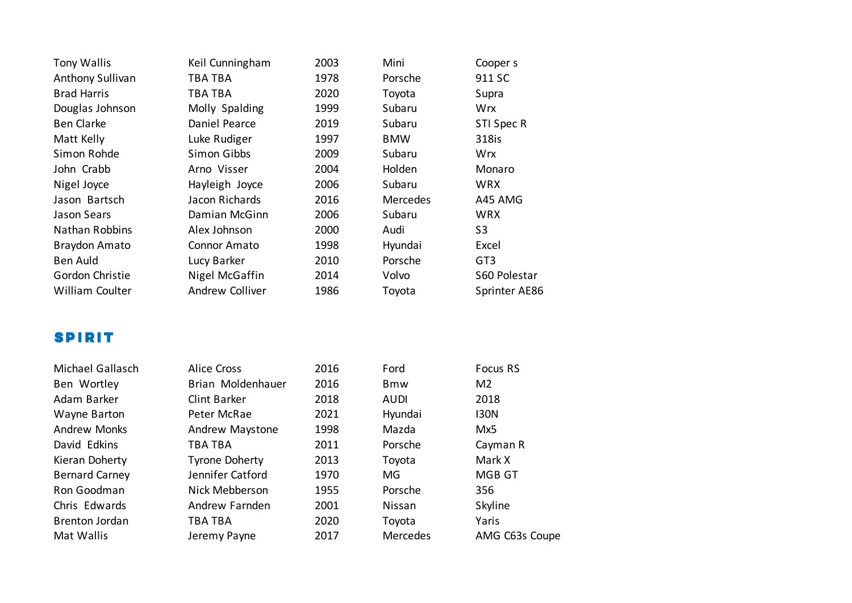| Tony Wallis        | Keil Cunningham | 2003 | Mini            | Cooper s        |
|--------------------|-----------------|------|-----------------|-----------------|
| Anthony Sullivan   | TBA TBA         | 1978 | Porsche         | 911 SC          |
| <b>Brad Harris</b> | TBA TBA         | 2020 | Toyota          | Supra           |
| Douglas Johnson    | Molly Spalding  | 1999 | Subaru          | <b>Wrx</b>      |
| <b>Ben Clarke</b>  | Daniel Pearce   | 2019 | Subaru          | STI Spec R      |
| Matt Kelly         | Luke Rudiger    | 1997 | <b>BMW</b>      | 318is           |
| Simon Rohde        | Simon Gibbs     | 2009 | Subaru          | Wrx             |
| John Crabb         | Arno Visser     | 2004 | Holden          | Monaro          |
| Nigel Joyce        | Hayleigh Joyce  | 2006 | Subaru          | <b>WRX</b>      |
| Jason Bartsch      | Jacon Richards  | 2016 | <b>Mercedes</b> | A45 AMG         |
| Jason Sears        | Damian McGinn   | 2006 | Subaru          | <b>WRX</b>      |
| Nathan Robbins     | Alex Johnson    | 2000 | Audi            | S <sub>3</sub>  |
| Braydon Amato      | Connor Amato    | 1998 | Hyundai         | Excel           |
| Ben Auld           | Lucy Barker     | 2010 | Porsche         | GT <sub>3</sub> |
| Gordon Christie    | Nigel McGaffin  | 2014 | Volvo           | S60 Polestar    |
| William Coulter    | Andrew Colliver | 1986 | Toyota          | Sprinter AE86   |
|                    |                 |      |                 |                 |

### **SPIRIT**

| Michael Gallasch      |
|-----------------------|
| Ben Wortley           |
| Adam Barker           |
| Wayne Barton          |
| <b>Andrew Monks</b>   |
| David Edkins          |
| Kieran Doherty        |
| <b>Bernard Carney</b> |
| Ron Goodman           |
| Chris Edwards         |
| Brenton Jordan        |
| Mat Wallis            |

| Michael Gallasch      | <b>Alice Cross</b>    | 2016 | Ford        | Focus RS       |
|-----------------------|-----------------------|------|-------------|----------------|
| Ben Wortley           | Brian Moldenhauer     | 2016 | <b>Bmw</b>  | M <sub>2</sub> |
| Adam Barker           | Clint Barker          | 2018 | <b>AUDI</b> | 2018           |
| Wayne Barton          | Peter McRae           | 2021 | Hyundai     | 130N           |
| <b>Andrew Monks</b>   | Andrew Maystone       | 1998 | Mazda       | Mx5            |
| David Edkins          | TBA TBA               | 2011 | Porsche     | Cayman R       |
| Kieran Doherty        | <b>Tyrone Doherty</b> | 2013 | Toyota      | Mark X         |
| <b>Bernard Carney</b> | Jennifer Catford      | 1970 | <b>MG</b>   | MGB GT         |
| Ron Goodman           | Nick Mebberson        | 1955 | Porsche     | 356            |
| Chris Edwards         | Andrew Farnden        | 2001 | Nissan      | Skyline        |
| <b>Brenton Jordan</b> | TBA TBA               | 2020 | Toyota      | Yaris          |
| Mat Wallis            | Jeremy Payne          | 2017 | Mercedes    | AMG C63s Coupe |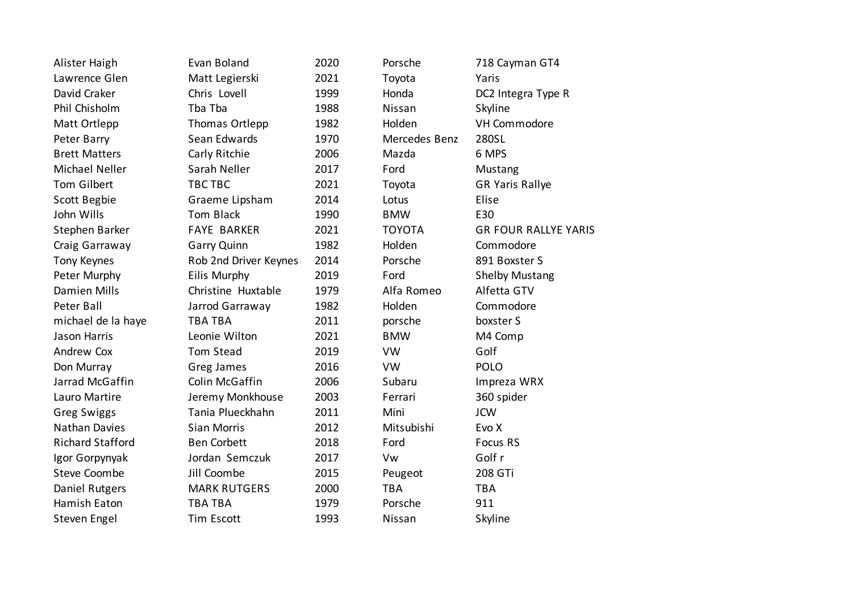| Alister Haigh           | Evan Boland           | 2020 | Porsche       | 718 Cayman GT4              |
|-------------------------|-----------------------|------|---------------|-----------------------------|
| Lawrence Glen           | Matt Legierski        | 2021 | Toyota        | Yaris                       |
| David Craker            | Chris Lovell          | 1999 | Honda         | DC2 Integra Type R          |
| Phil Chisholm           | Tba Tba               | 1988 | Nissan        | Skyline                     |
| Matt Ortlepp            | Thomas Ortlepp        | 1982 | Holden        | VH Commodore                |
| Peter Barry             | Sean Edwards          | 1970 | Mercedes Benz | 280SL                       |
| <b>Brett Matters</b>    | Carly Ritchie         | 2006 | Mazda         | 6 MPS                       |
| Michael Neller          | Sarah Neller          | 2017 | Ford          | Mustang                     |
| Tom Gilbert             | TBC TBC               | 2021 | Toyota        | <b>GR Yaris Rallye</b>      |
| Scott Begbie            | Graeme Lipsham        | 2014 | Lotus         | Elise                       |
| John Wills              | Tom Black             | 1990 | <b>BMW</b>    | E30                         |
| Stephen Barker          | <b>FAYE BARKER</b>    | 2021 | <b>TOYOTA</b> | <b>GR FOUR RALLYE YARIS</b> |
| Craig Garraway          | <b>Garry Quinn</b>    | 1982 | Holden        | Commodore                   |
| <b>Tony Keynes</b>      | Rob 2nd Driver Keynes | 2014 | Porsche       | 891 Boxster S               |
| Peter Murphy            | Eilis Murphy          | 2019 | Ford          | <b>Shelby Mustang</b>       |
| Damien Mills            | Christine Huxtable    | 1979 | Alfa Romeo    | Alfetta GTV                 |
| Peter Ball              | Jarrod Garraway       | 1982 | Holden        | Commodore                   |
| michael de la haye      | <b>TBA TBA</b>        | 2011 | porsche       | boxster S                   |
| Jason Harris            | Leonie Wilton         | 2021 | <b>BMW</b>    | M4 Comp                     |
| Andrew Cox              | Tom Stead             | 2019 | <b>VW</b>     | Golf                        |
| Don Murray              | Greg James            | 2016 | <b>VW</b>     | <b>POLO</b>                 |
| Jarrad McGaffin         | Colin McGaffin        | 2006 | Subaru        | Impreza WRX                 |
| Lauro Martire           | Jeremy Monkhouse      | 2003 | Ferrari       | 360 spider                  |
| Greg Swiggs             | Tania Plueckhahn      | 2011 | Mini          | <b>JCW</b>                  |
| <b>Nathan Davies</b>    | Sian Morris           | 2012 | Mitsubishi    | Evo X                       |
| <b>Richard Stafford</b> | <b>Ben Corbett</b>    | 2018 | Ford          | Focus RS                    |
| Igor Gorpynyak          | Jordan Semczuk        | 2017 | Vw            | Golf r                      |
| <b>Steve Coombe</b>     | Jill Coombe           | 2015 | Peugeot       | 208 GTi                     |
| Daniel Rutgers          | <b>MARK RUTGERS</b>   | 2000 | <b>TBA</b>    | <b>TBA</b>                  |
| Hamish Eaton            | <b>TBA TBA</b>        | 1979 | Porsche       | 911                         |
| Steven Engel            | Tim Escott            | 1993 | Nissan        | Skyline                     |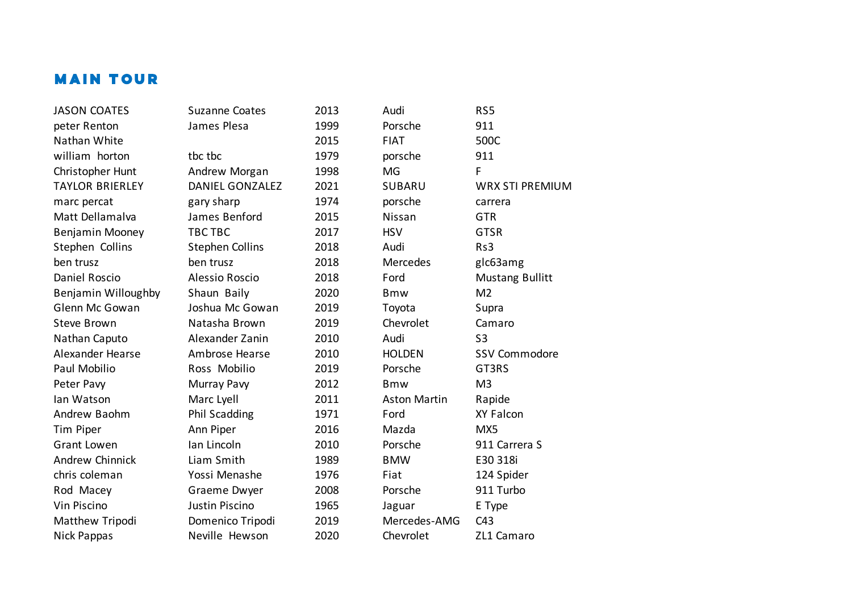# **MAIN TOUR**

| <b>JASON COATES</b>    | <b>Suzanne Coates</b>  | 2013 | Audi                | RS5                    |
|------------------------|------------------------|------|---------------------|------------------------|
| peter Renton           | James Plesa            | 1999 | Porsche             | 911                    |
| Nathan White           |                        | 2015 | <b>FIAT</b>         | 500C                   |
| william horton         | tbc tbc                | 1979 | porsche             | 911                    |
| Christopher Hunt       | Andrew Morgan          | 1998 | MG                  | F                      |
| <b>TAYLOR BRIERLEY</b> | <b>DANIEL GONZALEZ</b> | 2021 | <b>SUBARU</b>       | <b>WRX STI PREMIUM</b> |
| marc percat            | gary sharp             | 1974 | porsche             | carrera                |
| Matt Dellamalva        | James Benford          | 2015 | Nissan              | <b>GTR</b>             |
| Benjamin Mooney        | TBC TBC                | 2017 | <b>HSV</b>          | <b>GTSR</b>            |
| Stephen Collins        | <b>Stephen Collins</b> | 2018 | Audi                | Rs3                    |
| ben trusz              | ben trusz              | 2018 | Mercedes            | glc63amg               |
| Daniel Roscio          | <b>Alessio Roscio</b>  | 2018 | Ford                | <b>Mustang Bullitt</b> |
| Benjamin Willoughby    | Shaun Baily            | 2020 | <b>Bmw</b>          | M <sub>2</sub>         |
| Glenn Mc Gowan         | Joshua Mc Gowan        | 2019 | Toyota              | Supra                  |
| Steve Brown            | Natasha Brown          | 2019 | Chevrolet           | Camaro                 |
| Nathan Caputo          | Alexander Zanin        | 2010 | Audi                | S <sub>3</sub>         |
| Alexander Hearse       | Ambrose Hearse         | 2010 | <b>HOLDEN</b>       | <b>SSV Commodore</b>   |
| Paul Mobilio           | Ross Mobilio           | 2019 | Porsche             | GT3RS                  |
| Peter Pavy             | Murray Pavy            | 2012 | <b>Bmw</b>          | M <sub>3</sub>         |
| lan Watson             | Marc Lyell             | 2011 | <b>Aston Martin</b> | Rapide                 |
| Andrew Baohm           | <b>Phil Scadding</b>   | 1971 | Ford                | XY Falcon              |
| Tim Piper              | Ann Piper              | 2016 | Mazda               | MX5                    |
| <b>Grant Lowen</b>     | Ian Lincoln            | 2010 | Porsche             | 911 Carrera S          |
| Andrew Chinnick        | Liam Smith             | 1989 | <b>BMW</b>          | E30 318i               |
| chris coleman          | Yossi Menashe          | 1976 | Fiat                | 124 Spider             |
| Rod Macey              | Graeme Dwyer           | 2008 | Porsche             | 911 Turbo              |
| Vin Piscino            | Justin Piscino         | 1965 | Jaguar              | E Type                 |
| Matthew Tripodi        | Domenico Tripodi       | 2019 | Mercedes-AMG        | C43                    |
| Nick Pappas            | Neville Hewson         | 2020 | Chevrolet           | ZL1 Camaro             |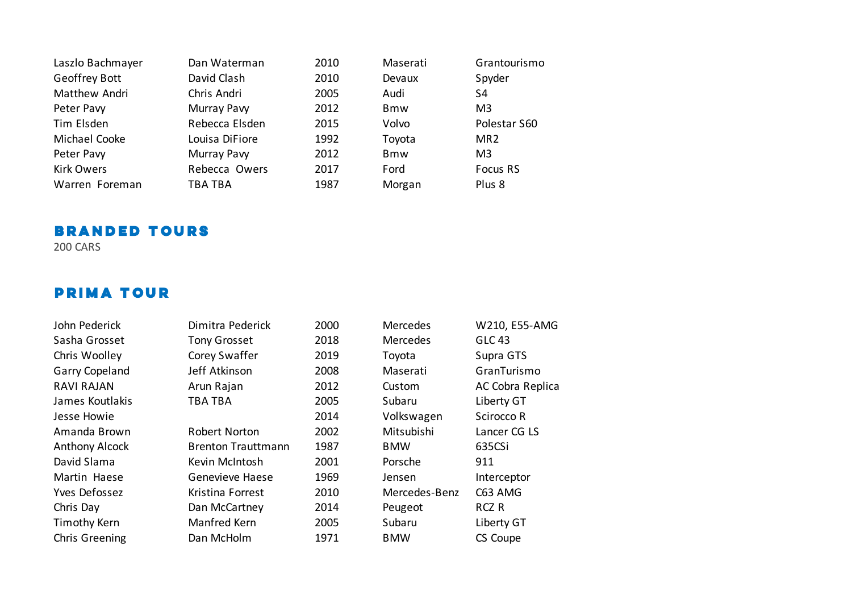| Laszlo Bachmayer  | Dan Waterman   | 2010 | Maserati   | Grantourismo    |
|-------------------|----------------|------|------------|-----------------|
| Geoffrey Bott     | David Clash    | 2010 | Devaux     | Spyder          |
| Matthew Andri     | Chris Andri    | 2005 | Audi       | S4              |
| Peter Pavy        | Murray Pavy    | 2012 | <b>Bmw</b> | M <sub>3</sub>  |
| Tim Elsden        | Rebecca Elsden | 2015 | Volvo      | Polestar S60    |
| Michael Cooke     | Louisa DiFiore | 1992 | Toyota     | MR <sub>2</sub> |
| Peter Pavy        | Murray Pavy    | 2012 | <b>Bmw</b> | M <sub>3</sub>  |
| <b>Kirk Owers</b> | Rebecca Owers  | 2017 | Ford       | Focus RS        |
| Warren Foreman    | TBA TBA        | 1987 | Morgan     | Plus 8          |

### **BRANDED TOURS**

200 CARS

## **PRIMA TOUR**

| John Pederick         |
|-----------------------|
| Sasha Grosset         |
| Chris Woolley         |
| <b>Garry Copeland</b> |
| RAVI RAIAN            |
| James Koutlakis       |
| Jesse Howie           |
| Amanda Brown          |
| <b>Anthony Alcock</b> |
| David Slama           |
| Martin Haese          |
| Yves Defossez         |
| Chris Day             |
| <b>Timothy Kern</b>   |
| Chris Greening        |

| John Pederick         | Dimitra Pederick          | 2000 | Mercedes      | W210, E55-AMG    |
|-----------------------|---------------------------|------|---------------|------------------|
| Sasha Grosset         | <b>Tony Grosset</b>       | 2018 | Mercedes      | <b>GLC 43</b>    |
| Chris Woolley         | Corey Swaffer             | 2019 | Toyota        | Supra GTS        |
| <b>Garry Copeland</b> | Jeff Atkinson             | 2008 | Maserati      | GranTurismo      |
| <b>RAVI RAJAN</b>     | Arun Rajan                | 2012 | Custom        | AC Cobra Replica |
| James Koutlakis       | <b>TBA TBA</b>            | 2005 | Subaru        | Liberty GT       |
| Jesse Howie           |                           | 2014 | Volkswagen    | Scirocco R       |
| Amanda Brown          | Robert Norton             | 2002 | Mitsubishi    | Lancer CG LS     |
| <b>Anthony Alcock</b> | <b>Brenton Trauttmann</b> | 1987 | <b>BMW</b>    | 635CSi           |
| David Slama           | Kevin McIntosh            | 2001 | Porsche       | 911              |
| Martin Haese          | Genevieve Haese           | 1969 | Jensen        | Interceptor      |
| Yves Defossez         | Kristina Forrest          | 2010 | Mercedes-Benz | C63 AMG          |
| Chris Day             | Dan McCartney             | 2014 | Peugeot       | RCZ R            |
| Timothy Kern          | Manfred Kern              | 2005 | Subaru        | Liberty GT       |
| Chris Greening        | Dan McHolm                | 1971 | <b>BMW</b>    | CS Coupe         |
|                       |                           |      |               |                  |